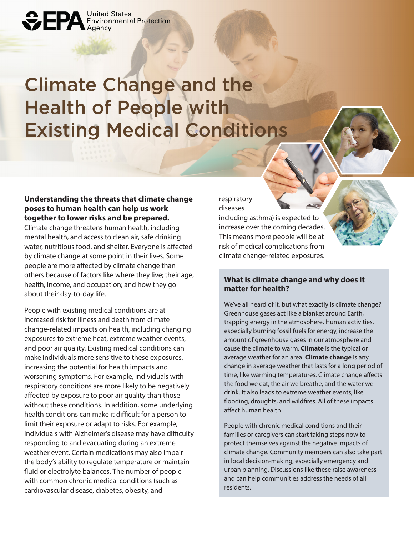# Climate Change and the Health of People with Existing Medical Conditions

## **Understanding the threats that climate change poses to human health can help us work together to lower risks and be prepared.**

**OFPA** Environmental Protection

Climate change threatens human health, including mental health, and access to clean air, safe drinking water, nutritious food, and shelter. Everyone is affected by climate change at some point in their lives. Some people are more affected by climate change than others because of factors like where they live; their age, health, income, and occupation; and how they go about their day-to-day life.

People with existing medical conditions are at increased risk for illness and death from climate change-related impacts on health, including changing exposures to extreme heat, extreme weather events, and poor air quality. Existing medical conditions can make individuals more sensitive to these exposures, increasing the potential for health impacts and worsening symptoms. For example, individuals with respiratory conditions are more likely to be negatively affected by exposure to poor air quality than those without these conditions. In addition, some underlying health conditions can make it difficult for a person to limit their exposure or adapt to risks. For example, individuals with Alzheimer's disease may have difficulty responding to and evacuating during an extreme weather event. Certain medications may also impair the body's ability to regulate temperature or maintain fluid or electrolyte balances. The number of people with common chronic medical conditions (such as cardiovascular disease, diabetes, obesity, and

respiratory diseases

including asthma) is expected to increase over the coming decades. This means more people will be at risk of medical complications from climate change-related exposures.

#### **What is climate change and why does it matter for health?**

We've all heard of it, but what exactly is climate change? Greenhouse gases act like a blanket around Earth, trapping energy in the atmosphere. Human activities, especially burning fossil fuels for energy, increase the amount of greenhouse gases in our atmosphere and cause the climate to warm. **Climate** is the typical or average weather for an area. **Climate change** is any change in average weather that lasts for a long period of time, like warming temperatures. Climate change affects the food we eat, the air we breathe, and the water we drink. It also leads to extreme weather events, like flooding, droughts, and wildfires. All of these impacts affect human health.

People with chronic medical conditions and their families or caregivers can start taking steps now to protect themselves against the negative impacts of climate change. Community members can also take part in local decision-making, especially emergency and urban planning. Discussions like these raise awareness and can help communities address the needs of all residents.